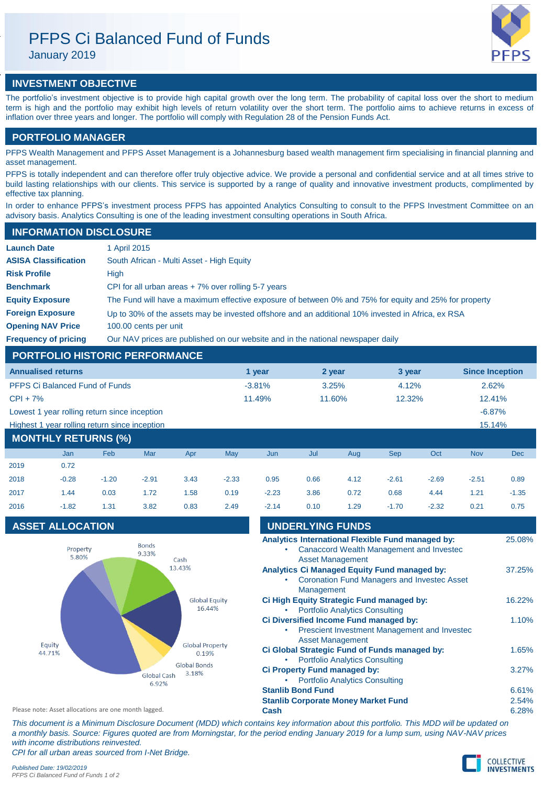# PFPS Ci Balanced Fund of Funds

January 2019

# **INVESTMENT OBJECTIVE**

The portfolio's investment objective is to provide high capital growth over the long term. The probability of capital loss over the short to medium term is high and the portfolio may exhibit high levels of return volatility over the short term. The portfolio aims to achieve returns in excess of inflation over three years and longer. The portfolio will comply with Regulation 28 of the Pension Funds Act.

# **PORTFOLIO MANAGER**

PFPS Wealth Management and PFPS Asset Management is a Johannesburg based wealth management firm specialising in financial planning and asset management.

PFPS is totally independent and can therefore offer truly objective advice. We provide a personal and confidential service and at all times strive to build lasting relationships with our clients. This service is supported by a range of quality and innovative investment products, complimented by effective tax planning.

In order to enhance PFPS's investment process PFPS has appointed Analytics Consulting to consult to the PFPS Investment Committee on an advisory basis. Analytics Consulting is one of the leading investment consulting operations in South Africa.

# **INFORMATION DISCLOSURE**

| <b>Launch Date</b>          | 1 April 2015                                                                                          |
|-----------------------------|-------------------------------------------------------------------------------------------------------|
| <b>ASISA Classification</b> | South African - Multi Asset - High Equity                                                             |
| <b>Risk Profile</b>         | Hiah                                                                                                  |
| <b>Benchmark</b>            | CPI for all urban areas $+7\%$ over rolling 5-7 years                                                 |
| <b>Equity Exposure</b>      | The Fund will have a maximum effective exposure of between 0% and 75% for equity and 25% for property |
| <b>Foreign Exposure</b>     | Up to 30% of the assets may be invested offshore and an additional 10% invested in Africa, ex RSA     |
| <b>Opening NAV Price</b>    | 100.00 cents per unit                                                                                 |
| <b>Frequency of pricing</b> | Our NAV prices are published on our website and in the national newspaper daily                       |

# **PORTFOLIO HISTORIC PERFORMANCE**

| <b>Annualised returns</b>                               | 1 year    | 2 year | 3 year    | <b>Since Inception</b> |  |  |  |
|---------------------------------------------------------|-----------|--------|-----------|------------------------|--|--|--|
| <b>PFPS Ci Balanced Fund of Funds</b>                   | $-3.81\%$ | 3.25%  | 4.12%     | 2.62%                  |  |  |  |
| $CPI + 7%$                                              | 11.49%    | 11.60% | $12.32\%$ | 12.41%                 |  |  |  |
| Lowest 1 year rolling return since inception            |           |        |           | $-6.87%$               |  |  |  |
| Highest 1 year rolling return since inception<br>15.14% |           |        |           |                        |  |  |  |
| <b>MONTHLY RETURNS (%)</b>                              |           |        |           |                        |  |  |  |

|      | Jan     | <b>Feb</b> | Mar     | Apr  | May     | Jun     | Jul  | Aug  | <b>Sep</b> | Oct     | <b>Nov</b> | <b>Dec</b> |
|------|---------|------------|---------|------|---------|---------|------|------|------------|---------|------------|------------|
| 2019 | 0.72    |            |         |      |         |         |      |      |            |         |            |            |
| 2018 | $-0.28$ | $-1.20$    | $-2.91$ | 3.43 | $-2.33$ | 0.95    | 0.66 | 4.12 | $-2.61$    | $-2.69$ | $-2.51$    | 0.89       |
| 2017 | 1.44    | 0.03       | 1.72    | 1.58 | 0.19    | $-2.23$ | 3.86 | 0.72 | 0.68       | 4.44    | 1.21       | $-1.35$    |
| 2016 | $-1.82$ | 1.31       | 3.82    | 0.83 | 2.49    | $-2.14$ | 0.10 | 1.29 | $-1.70$    | $-2.32$ | 0.21       | 0.75       |

# **ASSET ALLOCATION**



| $-2.14$ | 0.10                                       | 1.29                                  | $-1.70$                                                                                                   | $-2.32$ | 0.21 | 0.75   |
|---------|--------------------------------------------|---------------------------------------|-----------------------------------------------------------------------------------------------------------|---------|------|--------|
|         | <b>UNDERLYING FUNDS</b>                    |                                       |                                                                                                           |         |      |        |
|         | <b>Asset Management</b>                    |                                       | Analytics International Flexible Fund managed by:<br>Canaccord Wealth Management and Investec             |         |      | 25.08% |
|         | Management                                 |                                       | <b>Analytics Ci Managed Equity Fund managed by:</b><br><b>Coronation Fund Managers and Investec Asset</b> |         |      | 37.25% |
|         |                                            | <b>Portfolio Analytics Consulting</b> | Ci High Equity Strategic Fund managed by:                                                                 |         |      | 16.22% |
|         | <b>Asset Management</b>                    |                                       | Ci Diversified Income Fund managed by:<br>Prescient Investment Management and Invested                    |         |      | 1.10%  |
|         |                                            | <b>Portfolio Analytics Consulting</b> | Ci Global Strategic Fund of Funds managed by:                                                             |         |      | 1.65%  |
|         | <b>Ci Property Fund managed by:</b>        | <b>Portfolio Analytics Consulting</b> |                                                                                                           |         |      | 3.27%  |
|         | <b>Stanlib Bond Fund</b>                   |                                       |                                                                                                           |         |      | 6.61%  |
|         | <b>Stanlib Corporate Money Market Fund</b> |                                       |                                                                                                           |         |      | 2.54%  |

Please note: Asset allocations are one month lagged. **Cash Cash Cash 6.28% 6.28%** 

*This document is a Minimum Disclosure Document (MDD) which contains key information about this portfolio. This MDD will be updated on a monthly basis. Source: Figures quoted are from Morningstar, for the period ending January 2019 for a lump sum, using NAV-NAV prices with income distributions reinvested.*

*CPI for all urban areas sourced from I-Net Bridge.*